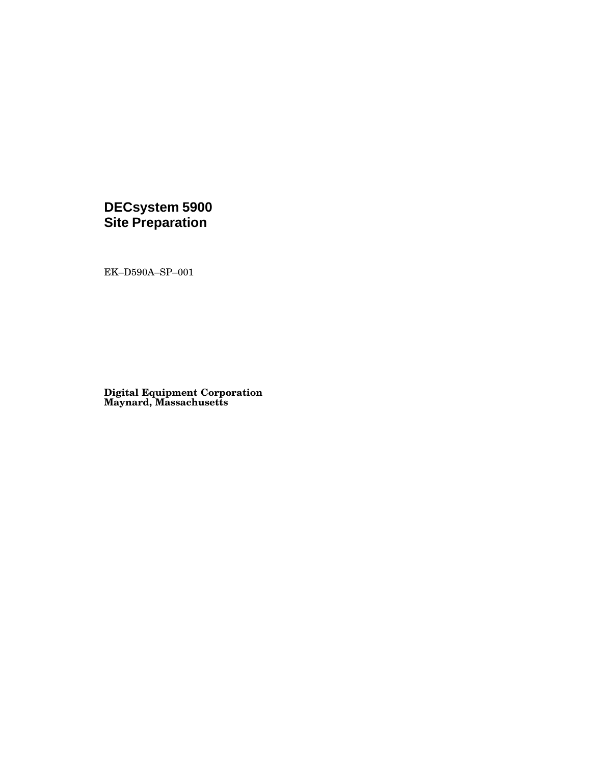# **DECsystem 5900**<br>Site Preparation

EK-D590A-SP-001

**Digital Equipment Corporation<br>Maynard, Massachusetts**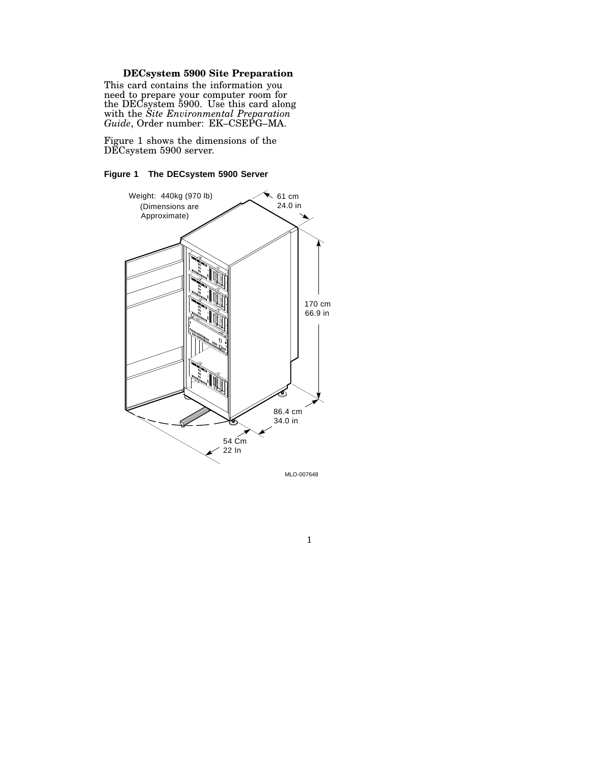### **DECsystem 5900 Site Preparation**

This card contains the information you need to prepare your computer room for the DECsystem 5900. Use this card along with the *Site Environmental Preparation Guide*, Order number: EK–CSEPG–MA.

Figure 1 shows the dimensions of the DECsystem 5900 server.

### **Figure 1 The DECsystem 5900 Server**



1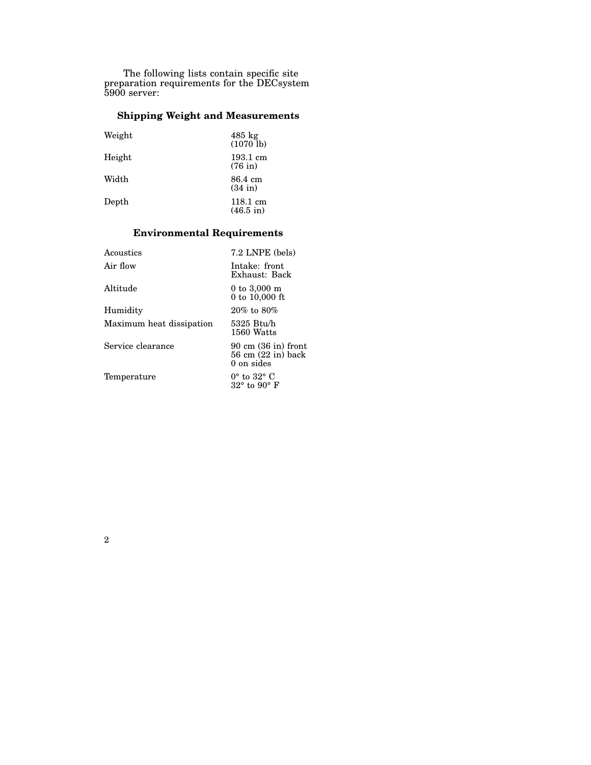The following lists contain specific site preparation requirements for the DECsystem 5900 server:

## **Shipping Weight and Measurements**

| Weight        | $485 \text{ kg}$<br>$(1070$ lb) |
|---------------|---------------------------------|
| Height        | 193.1 cm<br>$(76$ in)           |
| Width         | 86.4 cm<br>$(34$ in)            |
| ${\rm Depth}$ | 118.1 cm<br>$(46.5 \text{ in})$ |

## **Environmental Requirements**

| Acoustics                | 7.2 LNPE (bels)                                                                                        |
|--------------------------|--------------------------------------------------------------------------------------------------------|
| Air flow                 | Intake: front<br>Exhaust: Back                                                                         |
| Altitude                 | $0$ to $3,000 \; \mathrm{m}$<br>$0 \text{ to } 10,000 \text{ ft}$                                      |
| Humidity                 | $20\%$ to $80\%$                                                                                       |
| Maximum heat dissipation | 5325 Btu/h<br>1560 Watts                                                                               |
| Service clearance        | $90 \text{ cm } (36 \text{ in})$ front<br>$56 \text{ cm}$ $(22 \text{ in}) \text{ back}$<br>0 on sides |
| Temperature              | $0^{\circ}$ to $32^{\circ}$ C<br>$32^{\circ}$ to $90^{\circ}$ F                                        |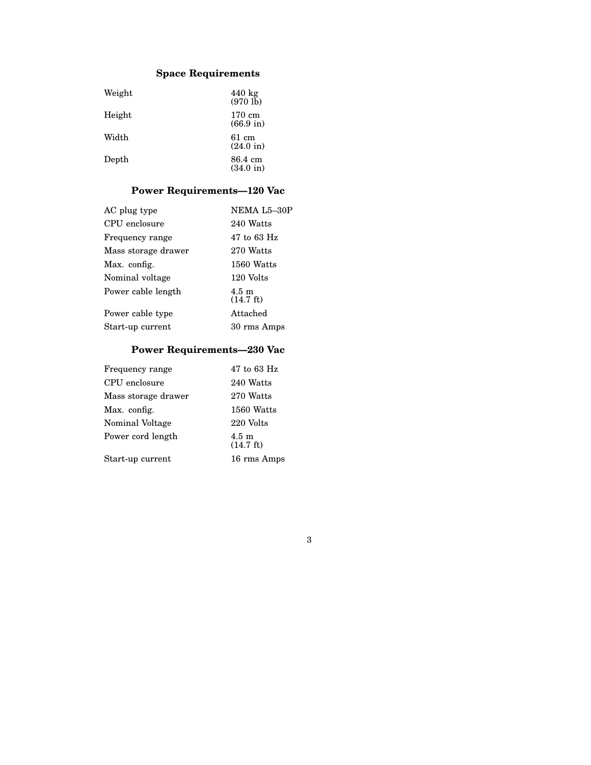# **Space Requirements**

| Weight | $440 \text{ kg}$<br>$(970 \text{ lb})$ |
|--------|----------------------------------------|
| Height | 170 cm<br>$(66.9 \text{ in})$          |
| Width  | 61 cm<br>$(24.0 \text{ in})$           |
| Depth  | 86.4 cm<br>$(34.0 \text{ in})$         |

# **Power Requirements—120 Vac**

| AC plug type        | NEMA L5-30P                            |
|---------------------|----------------------------------------|
| CPU enclosure       | 240 Watts                              |
| Frequency range     | 47 to 63 Hz                            |
| Mass storage drawer | 270 Watts                              |
| Max. config.        | 1560 Watts                             |
| Nominal voltage     | 120 Volts                              |
| Power cable length  | $4.5 \text{ m}$<br>$(14.7 \text{ ft})$ |
| Power cable type    | Attached                               |
| Start-up current    | 30 rms Amps                            |
|                     |                                        |

# **Power Requirements—230 Vac**

3

| CPU enclosure       | 240 Watts                              |
|---------------------|----------------------------------------|
| Mass storage drawer | 270 Watts                              |
| Max. config.        | 1560 Watts                             |
| Nominal Voltage     | 220 Volts                              |
| Power cord length   | $4.5 \text{ m}$<br>$(14.7 \text{ ft})$ |
| Start-up current    | 16 rms Amps                            |